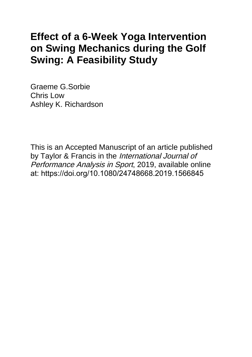# **Effect of a 6-Week Yoga Intervention on Swing Mechanics during the Golf Swing: A Feasibility Study**

Graeme G.Sorbie Chris Low Ashley K. Richardson

This is an Accepted Manuscript of an article published by Taylor & Francis in the International Journal of Performance Analysis in Sport, 2019, available online at: https://doi.org/10.1080/24748668.2019.1566845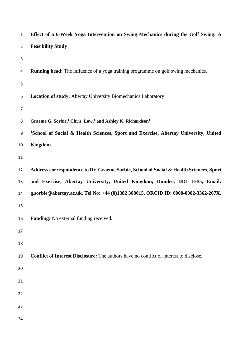| $\mathbf{1}$   | Effect of a 6-Week Yoga Intervention on Swing Mechanics during the Golf Swing: A                |
|----------------|-------------------------------------------------------------------------------------------------|
| $\overline{2}$ | <b>Feasibility Study</b>                                                                        |
| 3              |                                                                                                 |
| 4              | <b>Running head:</b> The influence of a yoga training programme on golf swing mechanics.        |
| 5              |                                                                                                 |
| 6              | Location of study: Abertay University Biomechanics Laboratory                                   |
| 7              |                                                                                                 |
| 8              | Graeme G. Sorbie, <sup>1</sup> Chris. Low, <sup>1</sup> and Ashley K. Richardson <sup>1</sup>   |
| 9              | <sup>1</sup> School of Social & Health Sciences, Sport and Exercise, Abertay University, United |
| 10             | Kingdom.                                                                                        |
| 11             |                                                                                                 |
| 12             | Address correspondence to Dr. Graeme Sorbie, School of Social & Health Sciences, Sport          |
| 13             | and Exercise, Abertay University, United Kingdom; Dundee, DD1 1HG, Email:                       |
| 14             | g.sorbie@abertay.ac.uk, Tel No: +44 (0)1382 308015, ORCID ID: 0000-0002-3362-267X.              |
| 15             |                                                                                                 |
| 16             | <b>Funding:</b> No external funding received.                                                   |
| 17             |                                                                                                 |
| 18             |                                                                                                 |
| 19             | <b>Conflict of Interest Disclosure:</b> The authors have no conflict of interest to disclose.   |
| 20             |                                                                                                 |
| 21             |                                                                                                 |
| 22             |                                                                                                 |
| 23             |                                                                                                 |
| 24             |                                                                                                 |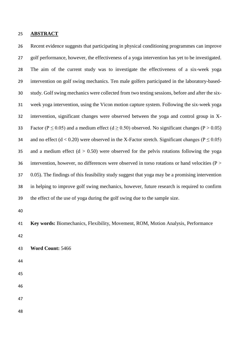#### **ABSTRACT**

 Recent evidence suggests that participating in physical conditioning programmes can improve golf performance, however, the effectiveness of a yoga intervention has yet to be investigated. The aim of the current study was to investigate the effectiveness of a six-week yoga intervention on golf swing mechanics. Ten male golfers participated in the laboratory-based- study. Golf swing mechanics were collected from two testing sessions, before and after the six- week yoga intervention, using the Vicon motion capture system. Following the six-week yoga intervention, significant changes were observed between the yoga and control group in X-33 Factor (P < 0.05) and a medium effect ( $d > 0.50$ ) observed. No significant changes (P > 0.05) 34 and no effect ( $d < 0.20$ ) were observed in the X-Factor stretch. Significant changes ( $P \le 0.05$ ) 35 and a medium effect  $(d > 0.50)$  were observed for the pelvis rotations following the yoga intervention, however, no differences were observed in torso rotations or hand velocities (P > 0.05). The findings of this feasibility study suggest that yoga may be a promising intervention in helping to improve golf swing mechanics, however, future research is required to confirm the effect of the use of yoga during the golf swing due to the sample size.

 **Key words:** Biomechanics, Flexibility, Movement, ROM, Motion Analysis, Performance 

**Word Count:** 5466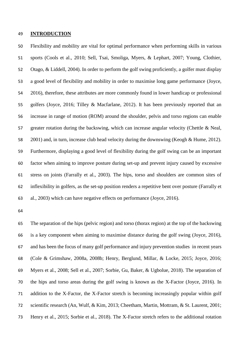## **INTRODUCTION**

 Flexibility and mobility are vital for optimal performance when performing skills in various sports (Cools et al., 2010; Sell, Tsai, Smoliga, Myers, & Lephart, 2007; Young, Clothier, Otago, & Liddell, 2004). In order to perform the golf swing proficiently, a golfer must display a good level of flexibility and mobility in order to maximise long game performance (Joyce, 2016), therefore, these attributes are more commonly found in lower handicap or professional golfers (Joyce, 2016; Tilley & Macfarlane, 2012). It has been previously reported that an increase in range of motion (ROM) around the shoulder, pelvis and torso regions can enable greater rotation during the backswing, which can increase angular velocity (Chettle & Neal, 2001) and, in turn, increase club head velocity during the downswing (Keogh & Hume, 2012). Furthermore, displaying a good level of flexibility during the golf swing can be an important factor when aiming to improve posture during set-up and prevent injury caused by excessive stress on joints (Farrally et al., 2003). The hips, torso and shoulders are common sites of inflexibility in golfers, as the set-up position renders a repetitive bent over posture (Farrally et al., 2003) which can have negative effects on performance (Joyce, 2016).

 The separation of the hips (pelvic region) and torso (thorax region) at the top of the backswing is a key component when aiming to maximise distance during the golf swing (Joyce, 2016), and has been the focus of many golf performance and injury prevention studies in recent years (Cole & Grimshaw, 2008a, 2008b; Henry, Berglund, Millar, & Locke, 2015; Joyce, 2016; Myers et al., 2008; Sell et al., 2007; Sorbie, Gu, Baker, & Ugbolue, 2018). The separation of the hips and torso areas during the golf swing is known as the X-Factor (Joyce, 2016). In addition to the X-Factor, the X-Factor stretch is becoming increasingly popular within golf scientific research (An, Wulf, & Kim, 2013; Cheetham, Martin, Mottram, & St. Laurent, 2001; Henry et al., 2015; Sorbie et al., 2018). The X-Factor stretch refers to the additional rotation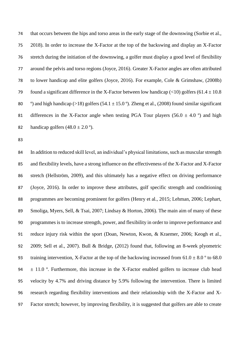that occurs between the hips and torso areas in the early stage of the downswing (Sorbie et al., 2018). In order to increase the X-Factor at the top of the backswing and display an X-Factor stretch during the initiation of the downswing, a golfer must display a good level of flexibility around the pelvis and torso regions (Joyce, 2016). Greater X-Factor angles are often attributed to lower handicap and elite golfers (Joyce, 2016). For example, Cole & Grimshaw, (2008b) 79 found a significant difference in the X-Factor between low handicap (<10) golfers (61.4  $\pm$  10.8  $\degree$ ) and high handicap (>18) golfers (54.1  $\pm$  15.0 °). Zheng et al., (2008) found similar significant 81 differences in the X-Factor angle when testing PGA Tour players (56.0  $\pm$  4.0 °) and high 82 handicap golfers  $(48.0 \pm 2.0$ <sup>o</sup>).

84 In addition to reduced skill level, an individual's physical limitations, such as muscular strength and flexibility levels, have a strong influence on the effectiveness of the X-Factor and X-Factor stretch (Hellström, 2009), and this ultimately has a negative effect on driving performance (Joyce, 2016). In order to improve these attributes, golf specific strength and conditioning programmes are becoming prominent for golfers (Henry et al., 2015; Lehman, 2006; Lephart, Smoliga, Myers, Sell, & Tsai, 2007; Lindsay & Horton, 2006). The main aim of many of these programmes is to increase strength, power, and flexibility in order to improve performance and reduce injury risk within the sport (Doan, Newton, Kwon, & Kraemer, 2006; Keogh et al., 2009; Sell et al., 2007). Bull & Bridge, (2012) found that, following an 8-week plyometric 93 training intervention, X-Factor at the top of the backswing increased from  $61.0 \pm 8.0$  ° to 68.0  $\pm$  11.0 °. Furthermore, this increase in the X-Factor enabled golfers to increase club head velocity by 4.7% and driving distance by 5.9% following the intervention. There is limited research regarding flexibility interventions and their relationship with the X-Factor and X-Factor stretch; however, by improving flexibility, it is suggested that golfers are able to create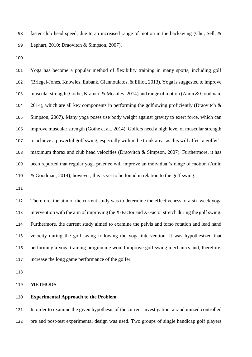faster club head speed, due to an increased range of motion in the backswing (Chu, Sell, & Lephart, 2010; Draovitch & Simpson, 2007).

 Yoga has become a popular method of flexibility training in many sports, including golf (Briegel-Jones, Knowles, Eubank, Giannoulatos, & Elliot, 2013). Yoga is suggested to improve muscular strength (Gothe, Kramer, & Mcauley, 2014) and range of motion (Amin & Goodman, 104 2014), which are all key components in performing the golf swing proficiently (Draovitch  $\&$  Simpson, 2007). Many yoga poses use body weight against gravity to exert force, which can improve muscular strength (Gothe et al., 2014). Golfers need a high level of muscular strength to achieve a powerful golf swing, especially within the trunk area, as this will affect a golfer's maximum thorax and club head velocities (Draovitch & Simpson, 2007). Furthermore, it has been reported that regular yoga practice will improve an individual's range of motion (Amin & Goodman, 2014), however, this is yet to be found in relation to the golf swing.

 Therefore, the aim of the current study was to determine the effectiveness of a six-week yoga intervention with the aim of improving the X-Factor and X-Factor stretch during the golf swing. Furthermore, the current study aimed to examine the pelvis and torso rotation and lead hand velocity during the golf swing following the yoga intervention. It was hypothesized that performing a yoga training programme would improve golf swing mechanics and, therefore, increase the long game performance of the golfer.

#### **METHODS**

## **Experimental Approach to the Problem**

 In order to examine the given hypothesis of the current investigation, a randomized controlled pre and post-test experimental design was used. Two groups of single handicap golf players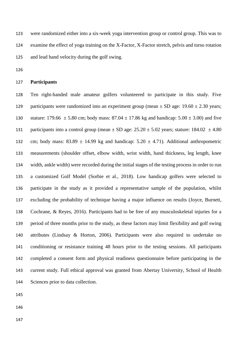were randomized either into a six-week yoga intervention group or control group. This was to examine the effect of yoga training on the X-Factor, X-Factor stretch, pelvis and torso rotation and lead hand velocity during the golf swing.

# **Participants**

 Ten right-handed male amateur golfers volunteered to participate in this study. Five 129 participants were randomized into an experiment group (mean  $\pm$  SD age: 19.60  $\pm$  2.30 years; 130 stature: 179.66  $\pm$  5.80 cm; body mass: 87.04  $\pm$  17.86 kg and handicap: 5.00  $\pm$  3.00) and five 131 participants into a control group (mean  $\pm$  SD age: 25.20  $\pm$  5.02 years; stature: 184.02  $\pm$  4.80 132 cm; body mass:  $83.89 \pm 14.99$  kg and handicap:  $5.20 \pm 4.71$ ). Additional anthropometric measurements (shoulder offset, elbow width, wrist width, hand thickness, leg length, knee width, ankle width) were recorded during the initial stages of the testing process in order to run a customized Golf Model (Sorbie et al., 2018). Low handicap golfers were selected to participate in the study as it provided a representative sample of the population, whilst excluding the probability of technique having a major influence on results (Joyce, Burnett, Cochrane, & Reyes, 2016). Participants had to be free of any musculoskeletal injuries for a period of three months prior to the study, as these factors may limit flexibility and golf swing attributes (Lindsay & Horton, 2006). Participants were also required to undertake no conditioning or resistance training 48 hours prior to the testing sessions. All participants completed a consent form and physical readiness questionnaire before participating in the current study. Full ethical approval was granted from Abertay University, School of Health Sciences prior to data collection.

- 
- 
-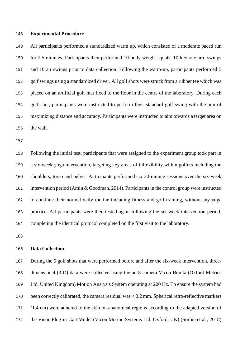#### **Experimental Procedure**

 All participants performed a standardized warm up, which consisted of a moderate paced run for 2.5 minutes. Participants then performed 10 body weight squats, 10 keyhole arm swings and 10 air swings prior to data collection. Following the warm-up, participants performed 5 golf swings using a standardized driver. All golf shots were struck from a rubber tee which was placed on an artificial golf mat fixed to the floor in the centre of the laboratory. During each golf shot, participants were instructed to perform their standard golf swing with the aim of maximizing distance and accuracy. Participants were instructed to aim towards a target area on the wall.

 Following the initial test, participants that were assigned to the experiment group took part in a six-week yoga intervention, targeting key areas of inflexibility within golfers including the shoulders, torso and pelvis. Participants performed six 30-minute sessions over the six-week intervention period (Amin & Goodman, 2014). Participants in the control group were instructed to continue their normal daily routine including fitness and golf training, without any yoga practice. All participants were then tested again following the six-week intervention period, completing the identical protocol completed on the first visit to the laboratory.

# **Data Collection**

 During the 5 golf shots that were performed before and after the six-week intervention, three- dimensional (3-D) data were collected using the an 8-camera Vicon Bonita (Oxford Metrics Ltd, United Kingdom) Motion Analysis System operating at 200 Hz. To ensure the system had been correctly calibrated, the camera residual was < 0.2 mm. Spherical retro-reflective markers (1.4 cm) were adhered to the skin on anatomical regions according to the adapted version of the Vicon Plug-in-Gait Model (Vicon Motion Systems Ltd, Oxford, UK) (Sorbie et al., 2018)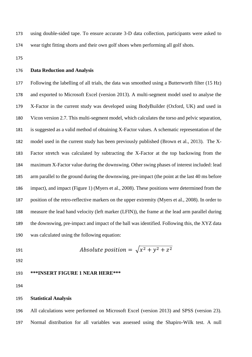using double-sided tape. To ensure accurate 3-D data collection, participants were asked to wear tight fitting shorts and their own golf shoes when performing all golf shots.

# **Data Reduction and Analysis**

 Following the labelling of all trials, the data was smoothed using a Butterworth filter (15 Hz) and exported to Microsoft Excel (version 2013). A multi-segment model used to analyse the X-Factor in the current study was developed using BodyBuilder (Oxford, UK) and used in Vicon version 2.7. This multi-segment model, which calculates the torso and pelvic separation, is suggested as a valid method of obtaining X-Factor values. A schematic representation of the model used in the current study has been previously published (Brown et al., 2013). The X- Factor stretch was calculated by subtracting the X-Factor at the top backswing from the maximum X-Factor value during the downswing. Other swing phases of interest included: lead arm parallel to the ground during the downswing, pre-impact (the point at the last 40 ms before impact), and impact (Figure 1) (Myers et al., 2008). These positions were determined from the position of the retro-reflective markers on the upper extremity (Myers et al., 2008). In order to measure the lead hand velocity (left marker (LFIN)), the frame at the lead arm parallel during the downswing, pre-impact and impact of the ball was identified. Following this, the XYZ data was calculated using the following equation:

191 *Absolute position* = 
$$
\sqrt{x^2 + y^2 + z^2}
$$

# **\*\*\*INSERT FIGURE 1 NEAR HERE\*\*\***

#### **Statistical Analysis**

 All calculations were performed on Microsoft Excel (version 2013) and SPSS (version 23). Normal distribution for all variables was assessed using the Shapiro-Wilk test. A null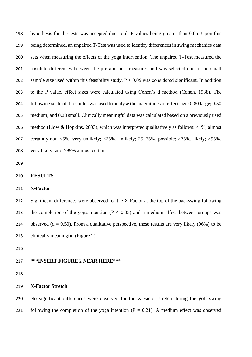hypothesis for the tests was accepted due to all P values being greater than 0.05. Upon this being determined, an unpaired T-Test was used to identify differences in swing mechanics data sets when measuring the effects of the yoga intervention. The unpaired T-Test measured the absolute differences between the pre and post measures and was selected due to the small 202 sample size used within this feasibility study.  $P \le 0.05$  was considered significant. In addition to the P value, effect sizes were calculated using Cohen's d method (Cohen, 1988). The following scale of thresholds was used to analyse the magnitudes of effect size: 0.80 large; 0.50 medium; and 0.20 small. Clinically meaningful data was calculated based on a previously used method (Liow & Hopkins, 2003), which was interpreted qualitatively as follows: <1%, almost certainly not; <5%, very unlikely; <25%, unlikely; 25–75%, possible; >75%, likely; >95%, very likely; and >99% almost certain.

#### **RESULTS**

# **X-Factor**

 Significant differences were observed for the X-Factor at the top of the backswing following 213 the completion of the yoga intention ( $P \le 0.05$ ) and a medium effect between groups was 214 observed ( $d = 0.50$ ). From a qualitative perspective, these results are very likely (96%) to be clinically meaningful (Figure 2).

#### **\*\*\*INSERT FIGURE 2 NEAR HERE\*\*\***

# **X-Factor Stretch**

 No significant differences were observed for the X-Factor stretch during the golf swing 221 following the completion of the yoga intention  $(P = 0.21)$ . A medium effect was observed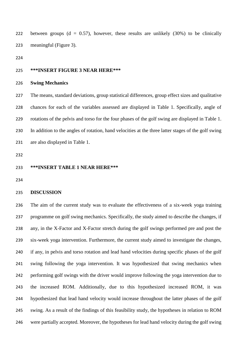222 between groups  $(d = 0.57)$ , however, these results are unlikely  $(30\%)$  to be clinically meaningful (Figure 3).

#### **\*\*\*INSERT FIGURE 3 NEAR HERE\*\*\***

# **Swing Mechanics**

 The means, standard deviations, group statistical differences, group effect sizes and qualitative chances for each of the variables assessed are displayed in Table 1. Specifically, angle of rotations of the pelvis and torso for the four phases of the golf swing are displayed in Table 1. In addition to the angles of rotation, hand velocities at the three latter stages of the golf swing are also displayed in Table 1.

## **\*\*\*INSERT TABLE 1 NEAR HERE\*\*\***

# **DISCUSSION**

 The aim of the current study was to evaluate the effectiveness of a six-week yoga training programme on golf swing mechanics. Specifically, the study aimed to describe the changes, if any, in the X-Factor and X-Factor stretch during the golf swings performed pre and post the six-week yoga intervention. Furthermore, the current study aimed to investigate the changes, if any, in pelvis and torso rotation and lead hand velocities during specific phases of the golf swing following the yoga intervention. It was hypothesized that swing mechanics when performing golf swings with the driver would improve following the yoga intervention due to the increased ROM. Additionally, due to this hypothesized increased ROM, it was hypothesized that lead hand velocity would increase throughout the latter phases of the golf swing. As a result of the findings of this feasibility study, the hypotheses in relation to ROM were partially accepted. Moreover, the hypotheses for lead hand velocity during the golf swing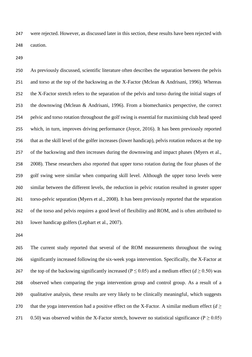were rejected. However, as discussed later in this section, these results have been rejected with caution.

 As previously discussed, scientific literature often describes the separation between the pelvis and torso at the top of the backswing as the X-Factor (Mclean & Andrisani, 1996). Whereas the X-Factor stretch refers to the separation of the pelvis and torso during the initial stages of the downswing (Mclean & Andrisani, 1996). From a biomechanics perspective, the correct pelvic and torso rotation throughout the golf swing is essential for maximising club head speed which, in turn, improves driving performance (Joyce, 2016). It has been previously reported that as the skill level of the golfer increases (lower handicap), pelvis rotation reduces at the top of the backswing and then increases during the downswing and impact phases (Myers et al., 258 2008). These researchers also reported that upper torso rotation during the four phases of the golf swing were similar when comparing skill level. Although the upper torso levels were similar between the different levels, the reduction in pelvic rotation resulted in greater upper torso-pelvic separation (Myers et al., 2008). It has been previously reported that the separation of the torso and pelvis requires a good level of flexibility and ROM, and is often attributed to lower handicap golfers (Lephart et al., 2007).

 The current study reported that several of the ROM measurements throughout the swing significantly increased following the six-week yoga intervention. Specifically, the X-Factor at 267 the top of the backswing significantly increased ( $P \le 0.05$ ) and a medium effect ( $d \ge 0.50$ ) was observed when comparing the yoga intervention group and control group. As a result of a qualitative analysis, these results are very likely to be clinically meaningful, which suggests 270 that the yoga intervention had a positive effect on the X-Factor. A similar medium effect  $(d \geq 1)$ 271 0.50) was observed within the X-Factor stretch, however no statistical significance ( $P > 0.05$ )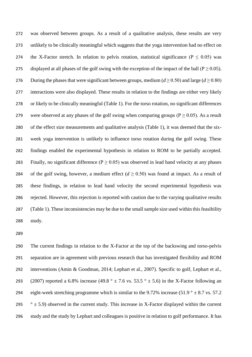was observed between groups. As a result of a qualitative analysis, these results are very unlikely to be clinically meaningful which suggests that the yoga intervention had no effect on 274 the X-Factor stretch. In relation to pelvis rotation, statistical significance ( $P \le 0.05$ ) was 275 displayed at all phases of the golf swing with the exception of the impact of the ball ( $P \ge 0.05$ ). 276 During the phases that were significant between groups, medium  $(d \ge 0.50)$  and large  $(d \ge 0.80)$  interactions were also displayed. These results in relation to the findings are either very likely or likely to be clinically meaningful (Table 1). For the torso rotation, no significant differences 279 were observed at any phases of the golf swing when comparing groups ( $P \ge 0.05$ ). As a result of the effect size measurements and qualitative analysis (Table 1), it was deemed that the six- week yoga intervention is unlikely to influence torso rotation during the golf swing. These findings enabled the experimental hypothesis in relation to ROM to be partially accepted. 283 Finally, no significant difference ( $P \ge 0.05$ ) was observed in lead hand velocity at any phases 284 of the golf swing, however, a medium effect  $(d \ge 0.50)$  was found at impact. As a result of these findings, in relation to lead hand velocity the second experimental hypothesis was rejected. However, this rejection is reported with caution due to the varying qualitative results (Table 1). These inconsistencies may be due to the small sample size used within this feasibility study.

 The current findings in relation to the X-Factor at the top of the backswing and torso-pelvis separation are in agreement with previous research that has investigated flexibility and ROM interventions (Amin & Goodman, 2014; Lephart et al., 2007). Specific to golf, Lephart et al., 293 (2007) reported a 6.8% increase (49.8 °  $\pm$  7.6 vs. 53.5 °  $\pm$  5.6) in the X-Factor following an 294 eight-week stretching programme which is similar to the 9.72% increase (51.9  $\degree$   $\pm$  8.7 vs. 57.2  $\degree$   $\pm$  5.9) observed in the current study. This increase in X-Factor displayed within the current study and the study by Lephart and colleagues is positive in relation to golf performance. It has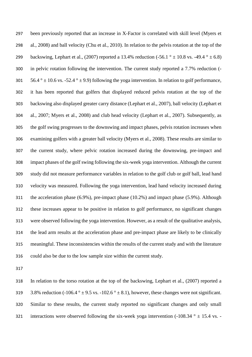been previously reported that an increase in X-Factor is correlated with skill level (Myers et al., 2008) and ball velocity (Chu et al., 2010). In relation to the pelvis rotation at the top of the 299 backswing, Lephart et al., (2007) reported a 13.4% reduction (-56.1  $\degree$   $\pm$  10.8 vs. -49.4  $\degree$   $\pm$  6.8) in pelvic rotation following the intervention. The current study reported a 7.7% reduction (-  $56.4^{\circ} \pm 10.6$  vs. -52.4  $^{\circ} \pm 9.9$ ) following the yoga intervention. In relation to golf performance, it has been reported that golfers that displayed reduced pelvis rotation at the top of the backswing also displayed greater carry distance (Lephart et al., 2007), ball velocity (Lephart et al., 2007; Myers et al., 2008) and club head velocity (Lephart et al., 2007). Subsequently, as the golf swing progresses to the downswing and impact phases, pelvis rotation increases when examining golfers with a greater ball velocity (Myers et al., 2008). These results are similar to the current study, where pelvic rotation increased during the downswing, pre-impact and impact phases of the golf swing following the six-week yoga intervention. Although the current study did not measure performance variables in relation to the golf club or golf ball, lead hand velocity was measured. Following the yoga intervention, lead hand velocity increased during the acceleration phase (6.9%), pre-impact phase (10.2%) and impact phase (5.9%). Although these increases appear to be positive in relation to golf performance, no significant changes were observed following the yoga intervention. However, as a result of the qualitative analysis, the lead arm results at the acceleration phase and pre-impact phase are likely to be clinically meaningful. These inconsistencies within the results of the current study and with the literature could also be due to the low sample size within the current study.

 In relation to the torso rotation at the top of the backswing, Lephart et al., (2007) reported a 319 3.8% reduction (-106.4  $\degree$  ± 9.5 vs. -102.6  $\degree$  ± 8.1), however, these changes were not significant. Similar to these results, the current study reported no significant changes and only small 321 interactions were observed following the six-week yoga intervention  $(-108.34 \degree \pm 15.4 \mathrm{vs.} -$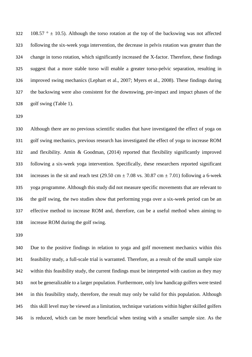322 108.57  $\degree$  ± 10.5). Although the torso rotation at the top of the backswing was not affected following the six-week yoga intervention, the decrease in pelvis rotation was greater than the change in torso rotation, which significantly increased the X-factor. Therefore, these findings suggest that a more stable torso will enable a greater torso-pelvic separation, resulting in improved swing mechanics (Lephart et al., 2007; Myers et al., 2008). These findings during the backswing were also consistent for the downswing, pre-impact and impact phases of the golf swing (Table 1).

 Although there are no previous scientific studies that have investigated the effect of yoga on golf swing mechanics, previous research has investigated the effect of yoga to increase ROM and flexibility. Amin & Goodman, (2014) reported that flexibility significantly improved following a six-week yoga intervention. Specifically, these researchers reported significant 334 increases in the sit and reach test (29.50 cm  $\pm$  7.08 vs. 30.87 cm  $\pm$  7.01) following a 6-week yoga programme. Although this study did not measure specific movements that are relevant to the golf swing, the two studies show that performing yoga over a six-week period can be an effective method to increase ROM and, therefore, can be a useful method when aiming to increase ROM during the golf swing.

 Due to the positive findings in relation to yoga and golf movement mechanics within this feasibility study, a full-scale trial is warranted. Therefore, as a result of the small sample size within this feasibility study, the current findings must be interpreted with caution as they may not be generalizable to a larger population. Furthermore, only low handicap golfers were tested in this feasibility study, therefore, the result may only be valid for this population. Although this skill level may be viewed as a limitation, technique variations within higher skilled golfers is reduced, which can be more beneficial when testing with a smaller sample size. As the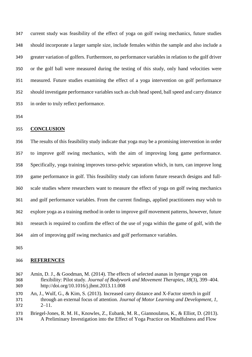current study was feasibility of the effect of yoga on golf swing mechanics, future studies should incorporate a larger sample size, include females within the sample and also include a greater variation of golfers. Furthermore, no performance variables in relation to the golf driver or the golf ball were measured during the testing of this study, only hand velocities were measured. Future studies examining the effect of a yoga intervention on golf performance should investigate performance variables such as club head speed, ball speed and carry distance in order to truly reflect performance.

# **CONCLUSION**

 The results of this feasibility study indicate that yoga may be a promising intervention in order to improve golf swing mechanics, with the aim of improving long game performance. Specifically, yoga training improves torso-pelvic separation which, in turn, can improve long game performance in golf. This feasibility study can inform future research designs and full- scale studies where researchers want to measure the effect of yoga on golf swing mechanics and golf performance variables. From the current findings, applied practitioners may wish to explore yoga as a training method in order to improve golf movement patterns, however, future research is required to confirm the effect of the use of yoga within the game of golf, with the aim of improving golf swing mechanics and golf performance variables.

#### **REFERENCES**

 Amin, D. J., & Goodman, M. (2014). The effects of selected asanas in Iyengar yoga on flexibility: Pilot study. *Journal of Bodywork and Movement Therapies*, *18*(3), 399–404. http://doi.org/10.1016/j.jbmt.2013.11.008

 An, J., Wulf, G., & Kim, S. (2013). Increased carry distance and X-Factor stretch in golf through an external focus of attention. *Journal of Motor Learning and Development*, *1*, 2–11.

 Briegel-Jones, R. M. H., Knowles, Z., Eubank, M. R., Giannoulatos, K., & Elliot, D. (2013). A Preliminary Investigation into the Effect of Yoga Practice on Mindfulness and Flow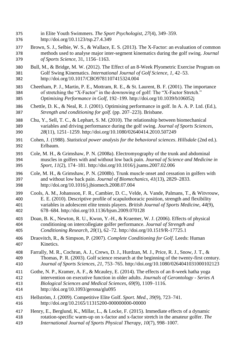- in Elite Youth Swimmers. *The Sport Psychologist*, *27*(4), 349–359.
- http://doi.org/10.1123/tsp.27.4.349
- Brown, S. J., Selbie, W. S., & Wallace, E. S. (2013). The X-Factor: an evaluation of common methods used to analyse major inter-segment kinematics during the golf swing. *Journal of Sports Science*, 31, 1156–1163.
- Bull, M., & Bridge, M. W. (2012). The Effect of an 8-Week Plyometric Exercise Program on Golf Swing Kinematics. *International Journal of Golf Science*, *1*, 42–53. http://doi.org/10.1017/CBO9781107415324.004
- Cheetham, P. J., Martin, P. E., Mottram, R. E., & St. Laurent, B. F. (2001). The importance of stretching the "X-Factor" in the downswing of golf: The "X-Factor Stretch." *Optimising Performance in Golf*, 192–199. http://doi.org/10.1039/b106052j
- Chettle, D. K., & Neal, R. J. (2001). Optimising performance in golf. In A. A. P. Ltd. (Ed.), *Strength and conditioning for golf.* (pp. 207–223). Brisbane.
- Chu, Y., Sell, T. C., & Lephart, S. M. (2010). The relationship between biomechanical variables and driving performance during the golf swing. *Journal of Sports Sciences*, *28*(11), 1251–1259. http://doi.org/10.1080/02640414.2010.507249
- Cohen, J. (1988). *Statistical power analysis for the behavioral sciences*. *Hillsdale* (2nd ed.). Erlbaum.
- Cole, M. H., & Grimshaw, P. N. (2008a). Electromyography of the trunk and abdominal muscles in golfers with and without low back pain. *Journal of Science and Medicine in Sport*, *11*(2), 174–181. http://doi.org/10.1016/j.jsams.2007.02.006
- Cole, M. H., & Grimshaw, P. N. (2008b). Trunk muscle onset and cessation in golfers with and without low back pain. *Journal of Biomechanics*, *41*(13), 2829–2833. http://doi.org/10.1016/j.jbiomech.2008.07.004
- Cools, A. M., Johansson, F. R., Cambier, D. C., Velde, A. Vande, Palmans, T., & Witvrouw, E. E. (2010). Descriptive profile of scapulothoracic position, strength and flexibility variables in adolescent elite tennis players. *British Journal of Sports Medicine*, *44*(9), 678–684. http://doi.org/10.1136/bjsm.2009.070128
- Doan, B. K., Newton, R. U., Kwon, Y.-H., & Kraemer, W. J. (2006). Effects of physical conditioning on intercollegiate golfer performance. *Journal of Strength and Conditioning Research*, *20*(1), 62–72. http://doi.org/10.1519/R-17725.1
- Draovitch, R., & Simpson, P. (2007). *Complete Conditioning for Golf*. Leeds: Human Kinetics.
- Farrally, M. R., Cochran, A. J., Crews, D. J., Hurdzan, M. J., Price, R. J., Snow, J. T., & Thomas, P. R. (2003). Golf science research at the beginning of the twenty-first century. *Journal of Sports Sciences*, *21*, 753–765. http://doi.org/10.1080/0264041031000102123
- Gothe, N. P., Kramer, A. F., & Mcauley, E. (2014). The effects of an 8-week hatha yoga intervention on executive function in older adults. *Journals of Gerontology - Series A Biological Sciences and Medical Sciences*, *69*(9), 1109–1116. http://doi.org/10.1093/gerona/glu095
- Hellström, J. (2009). Competitive Elite Golf. *Sport. Med.*, *39*(9), 723–741.
- http://doi.org/10.2165/11315200-000000000-00000 Henry, E., Berglund, K., Millar, L., & Locke, F. (2015). Immediate effects of a dynamic
- rotation-specific warm-up on x-factor and x-factor stretch in the amateur golfer. *The International Journal of Sports Physical Therapy*, *10*(7), 998–1007.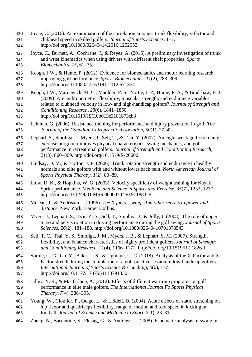- Joyce, C. (2016). An examination of the correlation amongst trunk flexibility, x-factor and clubhead speed in skilled golfers. *Journal of Sports Sciences*, 1–7. http://doi.org/10.1080/02640414.2016.1252052
- Joyce, C., Burnett, A., Cochrane, J., & Reyes, A. (2016). A preliminary investigation of trunk and wrist kinematics when using drivers with different shaft properties. *Sports Biomechanics*, *15*, 61–75.
- Keogh, J.W., & Hume, P. (2012). Evidence for biomechanics and motor learning research improving golf performance. *Sports Biomechanics*, *11*(2), 288–309.
- http://doi.org/10.1080/14763141.2012.671354
- Keogh, J.W., Marnewick, M. C., Maulder, P. S., Nortje, J. P., Hume, P. A., & Bradshaw, E. J. (2009). Are anthropometric, flexibility, muscular strength, and endurance variables related to clubhead velocity in low- and high-handicap golfers? *Journal of Strength and Conditioning Research*, *23*(6), 1841–1850.
- http://doi.org/10.1519/JSC.0b013e3181b73cb3
- Lehman, G. (2006). Resistance training for performance and injury prevention in golf. *The Journal of the Canadian Chiropractic Association*, *50*(1), 27–42.
- Lephart, S., Smoliga, J., Myers, J., Sell, T., & Tsai, Y. (2007). An eight-week golf-stretching exercise program improves physical characteristics, swing mechanics, and golf performance in recreational golfers. *Journal of Strength and Conditioning Research*, *21*(3), 860–869. http://doi.org/10.1519/R-20606.1
- Lindsay, D. M., & Horton, J. F. (2006). Trunk rotation strength and endurance in healthy normals and elite golfers with and without lower back pain. *North American Journal of Sports Physical Therapy*, *1*(2), 80–89.
- Liow, D. K., & Hopkins, W. G. (2003). Velocity specificity of weight training for Kayak Sprint performance. *Medicine and Science in Sports and Exercise*, *35*(7), 1232–1237. http://doi.org/10.1249/01.MSS.0000074450.97188.CF
- Mclean, J., & Andrisani, J. (1996). *The X-factor swing: And other secrets to power and distance*. New York: Harper Collins.
- Myers, J., Lephart, S., Tsai, Y.-S., Sell, T., Smoliga, J., & Jolly, J. (2008). The role of upper torso and pelvis rotation in driving performance during the golf swing. *Journal of Sports Sciences*, *26*(2), 181–188. http://doi.org/10.1080/02640410701373543
- Sell, T. C., Tsai, Y. S., Smoliga, J. M., Myers, J. B., & Lephart, S. M. (2007). Strength, flexibility, and balance characteristics of highly proficient golfers. *Journal of Strength and Conditioning Research*, *21*(4), 1166–1171. http://doi.org/10.1519/R-21826.1
- Sorbie, G. G., Gu, Y., Baker, J. S., & Ugbolue, U. C. (2018). Analysis of the X-Factor and X- Factor stretch during the completion of a golf practice session in low-handicap golfers. *International Journal of Sports Science & Coaching*, *0*(0), 1–7. http://doi.org/10.1177/1747954118791330
- Tilley, N. R., & Macfarlane, A. (2012). Effects of different warm-up programs on golf performance in elite male golfers. *The International Journal Fo Sports Physical Therapy*, *7*(4), 388–395.
- Young, W., Clothier, P., Otago, L., & Liddell, D. (2004). Acute effects of static stretching on hip flexor and quadriceps flexibility, range of motion and foot speed in kicking in football. *Journal of Science and Medicine in Sport*, *7*(1), 23–31.
- Zheng, N., Barrentine, S., Fleisig, G., & Andrews, J. (2008). Kinematic analysis of swing in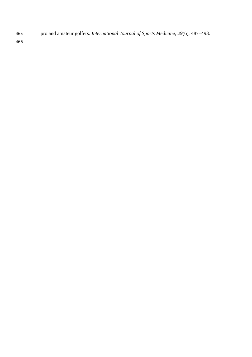pro and amateur golfers. *International Journal of Sports Medicine*, *29*(6), 487–493.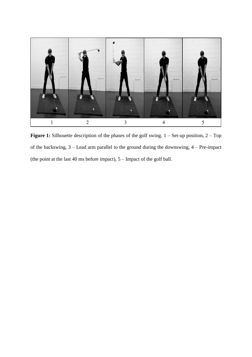

**Figure 1:** Silhouette description of the phases of the golf swing.  $1 -$  Set-up position,  $2 -$  Top of the backswing, 3 – Lead arm parallel to the ground during the downswing, 4 – Pre-impact (the point at the last 40 ms before impact),  $5 -$  Impact of the golf ball.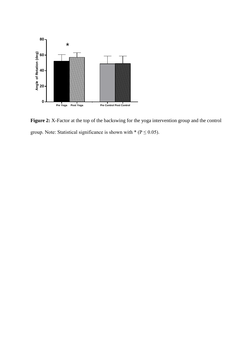

**Figure 2:** X-Factor at the top of the backswing for the yoga intervention group and the control group. Note: Statistical significance is shown with  $*(P \le 0.05)$ .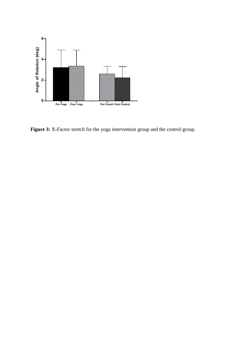

Figure 3: X-Factor stretch for the yoga intervention group and the control group.